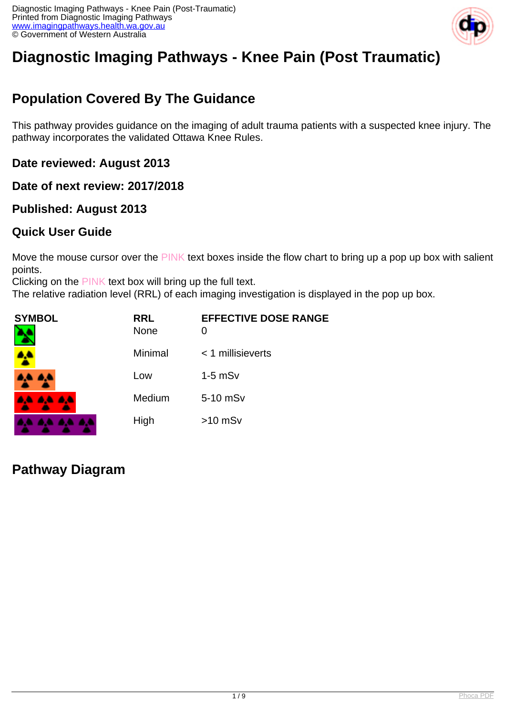

# **Diagnostic Imaging Pathways - Knee Pain (Post Traumatic)**

### **Population Covered By The Guidance**

This pathway provides guidance on the imaging of adult trauma patients with a suspected knee injury. The pathway incorporates the validated Ottawa Knee Rules.

**Date reviewed: August 2013**

**Date of next review: 2017/2018**

### **Published: August 2013**

### **Quick User Guide**

Move the mouse cursor over the PINK text boxes inside the flow chart to bring up a pop up box with salient points.

Clicking on the PINK text box will bring up the full text.

The relative radiation level (RRL) of each imaging investigation is displayed in the pop up box.

| SYMBOL   | <b>RRL</b><br><b>None</b> | <b>EFFECTIVE DOSE RANGE</b><br>O |
|----------|---------------------------|----------------------------------|
|          | Minimal                   | $<$ 1 millisieverts              |
| 4A 4A    | Low                       | $1-5$ mS $v$                     |
| 4A 4A 4A | Medium                    | 5-10 mSv                         |
|          | High                      | $>10$ mSv                        |

**Pathway Diagram**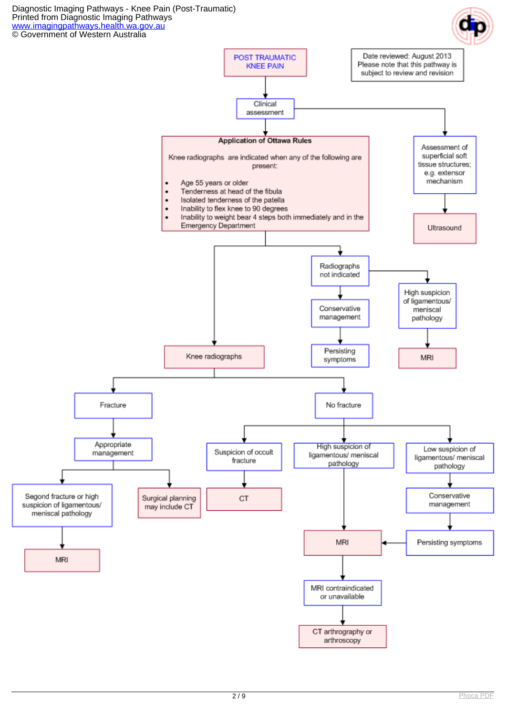Diagnostic Imaging Pathways - Knee Pain (Post-Traumatic) Printed from Diagnostic Imaging Pathways [www.imagingpathways.health.wa.gov.au](http://www.imagingpathways.health.wa.gov.au/) © Government of Western Australia

**MRI** 



MRI contraindicated or unavailable

CT arthrography or arthroscopy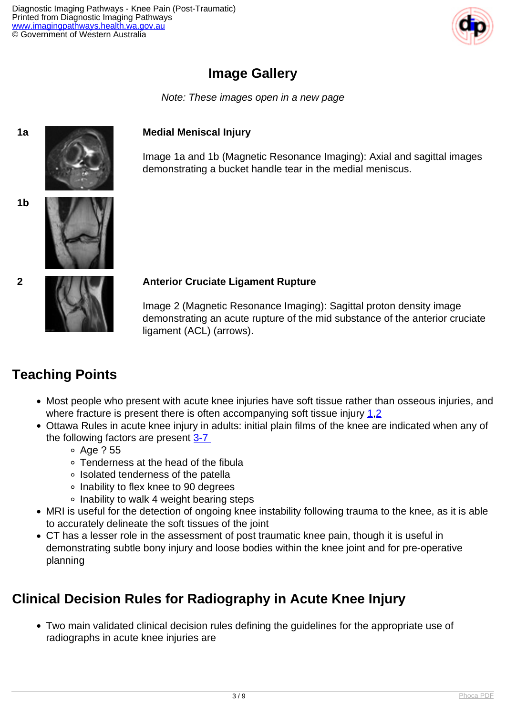

### **Image Gallery**

Note: These images open in a new page

#### **1a Medial Meniscal Injury**

Image 1a and 1b (Magnetic Resonance Imaging): Axial and sagittal images demonstrating a bucket handle tear in the medial meniscus.



#### **2 Anterior Cruciate Ligament Rupture**

Image 2 (Magnetic Resonance Imaging): Sagittal proton density image demonstrating an acute rupture of the mid substance of the anterior cruciate ligament (ACL) (arrows).

### **Teaching Points**

- Most people who present with acute knee injuries have soft tissue rather than osseous injuries, and where fracture is present there is often accompanying soft tissue injury  $1,2$  $1,2$
- Ottawa Rules in acute knee injury in adults: initial plain films of the knee are indicated when any of the following factors are present 3-7
	- Age ? 55
	- Tenderness at the head of the fibula
	- Isolated tenderness of the patella
	- Inability to flex knee to 90 degrees
	- Inability to walk 4 weight bearing steps
- MRI is useful for the detection of ongoing knee instability following trauma to the knee, as it is able to accurately delineate the soft tissues of the joint
- CT has a lesser role in the assessment of post traumatic knee pain, though it is useful in demonstrating subtle bony injury and loose bodies within the knee joint and for pre-operative planning

### **Clinical Decision Rules for Radiography in Acute Knee Injury**

Two main validated clinical decision rules defining the guidelines for the appropriate use of radiographs in acute knee injuries are

**1b**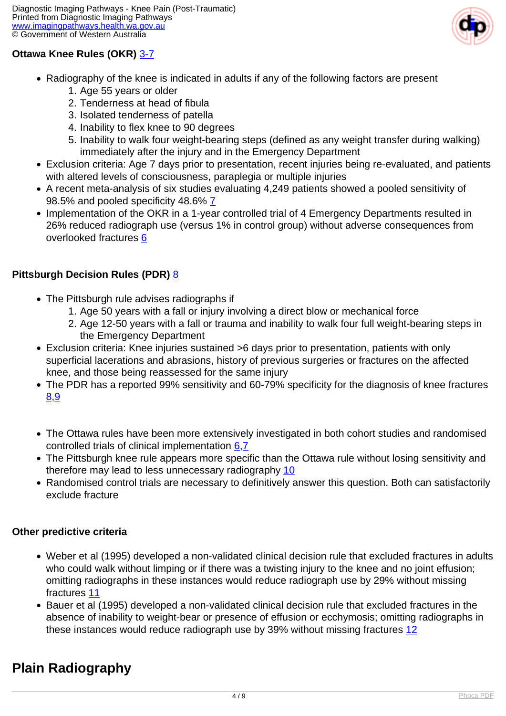

#### **Ottawa Knee Rules (OKR)** [3-7](index.php/imaging-pathways/musculoskeletal-trauma/bone-and-joint-trauma/post-traumatic-knee-pain?tab=References#3)

- Radiography of the knee is indicated in adults if any of the following factors are present
	- 1. Age 55 years or older
	- 2. Tenderness at head of fibula
	- 3. Isolated tenderness of patella
	- 4. Inability to flex knee to 90 degrees
	- 5. Inability to walk four weight-bearing steps (defined as any weight transfer during walking) immediately after the injury and in the Emergency Department
- Exclusion criteria: Age 7 days prior to presentation, recent injuries being re-evaluated, and patients with altered levels of consciousness, paraplegia or multiple injuries
- A recent meta-analysis of six studies evaluating 4,249 patients showed a pooled sensitivity of 98.5% and pooled specificity 48.6% [7](index.php/imaging-pathways/musculoskeletal-trauma/bone-and-joint-trauma/post-traumatic-knee-pain?tab=References#7)
- Implementation of the OKR in a 1-year controlled trial of 4 Emergency Departments resulted in 26% reduced radiograph use (versus 1% in control group) without adverse consequences from overlooked fractures [6](index.php/imaging-pathways/musculoskeletal-trauma/bone-and-joint-trauma/post-traumatic-knee-pain?tab=References#6)

#### **Pittsburgh Decision Rules (PDR)** [8](index.php/imaging-pathways/musculoskeletal-trauma/bone-and-joint-trauma/post-traumatic-knee-pain?tab=References#8)

- The Pittsburgh rule advises radiographs if
	- 1. Age 50 years with a fall or injury involving a direct blow or mechanical force
	- 2. Age 12-50 years with a fall or trauma and inability to walk four full weight-bearing steps in the Emergency Department
- Exclusion criteria: Knee injuries sustained >6 days prior to presentation, patients with only superficial lacerations and abrasions, history of previous surgeries or fractures on the affected knee, and those being reassessed for the same injury
- The PDR has a reported 99% sensitivity and 60-79% specificity for the diagnosis of knee fractures [8](index.php/imaging-pathways/musculoskeletal-trauma/bone-and-joint-trauma/post-traumatic-knee-pain?tab=References#8)[,9](index.php/imaging-pathways/musculoskeletal-trauma/bone-and-joint-trauma/post-traumatic-knee-pain?tab=References#9)
- The Ottawa rules have been more extensively investigated in both cohort studies and randomised controlled trials of clinical implementation [6](index.php/imaging-pathways/musculoskeletal-trauma/bone-and-joint-trauma/post-traumatic-knee-pain?tab=References#6),[7](index.php/imaging-pathways/musculoskeletal-trauma/bone-and-joint-trauma/post-traumatic-knee-pain?tab=References#7)
- The Pittsburgh knee rule appears more specific than the Ottawa rule without losing sensitivity and therefore may lead to less unnecessary radiography [10](index.php/imaging-pathways/musculoskeletal-trauma/bone-and-joint-trauma/post-traumatic-knee-pain?tab=References#10)
- Randomised control trials are necessary to definitively answer this question. Both can satisfactorily exclude fracture

#### **Other predictive criteria**

- Weber et al (1995) developed a non-validated clinical decision rule that excluded fractures in adults who could walk without limping or if there was a twisting injury to the knee and no joint effusion; omitting radiographs in these instances would reduce radiograph use by 29% without missing fractures [11](index.php/imaging-pathways/musculoskeletal-trauma/bone-and-joint-trauma/post-traumatic-knee-pain?tab=References#11)
- Bauer et al (1995) developed a non-validated clinical decision rule that excluded fractures in the absence of inability to weight-bear or presence of effusion or ecchymosis; omitting radiographs in these instances would reduce radiograph use by 39% without missing fractures [12](index.php/imaging-pathways/musculoskeletal-trauma/bone-and-joint-trauma/post-traumatic-knee-pain?tab=References#12)

### **Plain Radiography**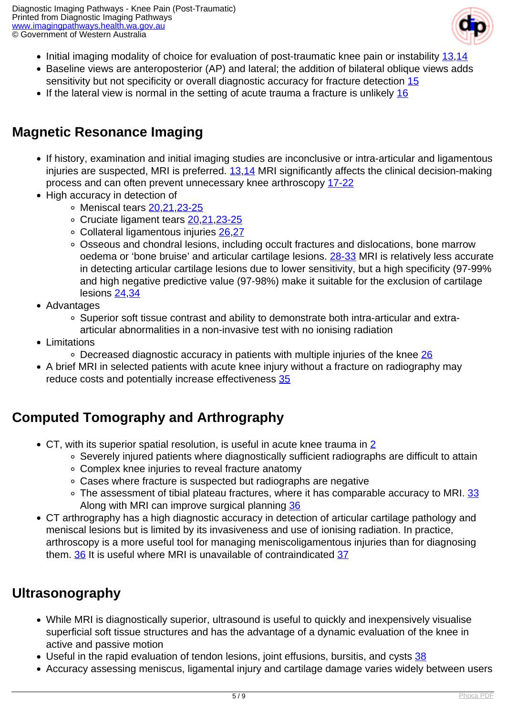Diagnostic Imaging Pathways - Knee Pain (Post-Traumatic) Printed from Diagnostic Imaging Pathways [www.imagingpathways.health.wa.gov.au](http://www.imagingpathways.health.wa.gov.au/) © Government of Western Australia



- Initial imaging modality of choice for evaluation of post-traumatic knee pain or instability  $13,14$  $13,14$
- Baseline views are anteroposterior (AP) and lateral; the addition of bilateral oblique views adds sensitivity but not specificity or overall diagnostic accuracy for fracture detection [15](index.php/imaging-pathways/musculoskeletal-trauma/bone-and-joint-trauma/post-traumatic-knee-pain?tab=References#15)
- If the lateral view is normal in the setting of acute trauma a fracture is unlikely  $16$

## **Magnetic Resonance Imaging**

- If history, examination and initial imaging studies are inconclusive or intra-articular and ligamentous injuries are suspected, MRI is preferred. [13,](index.php/imaging-pathways/musculoskeletal-trauma/bone-and-joint-trauma/post-traumatic-knee-pain?tab=References#13)[14](index.php/imaging-pathways/musculoskeletal-trauma/bone-and-joint-trauma/post-traumatic-knee-pain?tab=References#14) MRI significantly affects the clinical decision-making process and can often prevent unnecessary knee arthroscopy [17-22](index.php/imaging-pathways/musculoskeletal-trauma/bone-and-joint-trauma/post-traumatic-knee-pain?tab=References#17)
- High accuracy in detection of
	- Meniscal tears [20](index.php/imaging-pathways/musculoskeletal-trauma/bone-and-joint-trauma/post-traumatic-knee-pain?tab=References#20),[21](index.php/imaging-pathways/musculoskeletal-trauma/bone-and-joint-trauma/post-traumatic-knee-pain?tab=References#21)[,23-25](index.php/imaging-pathways/musculoskeletal-trauma/bone-and-joint-trauma/post-traumatic-knee-pain?tab=References#23)
	- Cruciate ligament tears [20](index.php/imaging-pathways/musculoskeletal-trauma/bone-and-joint-trauma/post-traumatic-knee-pain?tab=References#20),[21](index.php/imaging-pathways/musculoskeletal-trauma/bone-and-joint-trauma/post-traumatic-knee-pain?tab=References#21)[,23-25](index.php/imaging-pathways/musculoskeletal-trauma/bone-and-joint-trauma/post-traumatic-knee-pain?tab=References#23)
	- Collateral ligamentous injuries [26](index.php/imaging-pathways/musculoskeletal-trauma/bone-and-joint-trauma/post-traumatic-knee-pain?tab=References#26)[,27](index.php/imaging-pathways/musculoskeletal-trauma/bone-and-joint-trauma/post-traumatic-knee-pain?tab=References#27)
	- Osseous and chondral lesions, including occult fractures and dislocations, bone marrow oedema or 'bone bruise' and articular cartilage lesions. [28-33](index.php/imaging-pathways/musculoskeletal-trauma/bone-and-joint-trauma/post-traumatic-knee-pain?tab=References#28) MRI is relatively less accurate in detecting articular cartilage lesions due to lower sensitivity, but a high specificity (97-99% and high negative predictive value (97-98%) make it suitable for the exclusion of cartilage lesions [24](index.php/imaging-pathways/musculoskeletal-trauma/bone-and-joint-trauma/post-traumatic-knee-pain?tab=References#24),[34](index.php/imaging-pathways/musculoskeletal-trauma/bone-and-joint-trauma/post-traumatic-knee-pain?tab=References#34)
- Advantages
	- Superior soft tissue contrast and ability to demonstrate both intra-articular and extraarticular abnormalities in a non-invasive test with no ionising radiation
- Limitations
	- $\circ$  Decreased diagnostic accuracy in patients with multiple injuries of the knee [26](index.php/imaging-pathways/musculoskeletal-trauma/bone-and-joint-trauma/post-traumatic-knee-pain?tab=References#26)
- A brief MRI in selected patients with acute knee injury without a fracture on radiography may reduce costs and potentially increase effectiveness [35](index.php/imaging-pathways/musculoskeletal-trauma/bone-and-joint-trauma/post-traumatic-knee-pain?tab=References#35)

### **Computed Tomography and Arthrography**

- CT, with its superior spatial resolution, is useful in acute knee trauma in [2](index.php/imaging-pathways/musculoskeletal-trauma/bone-and-joint-trauma/post-traumatic-knee-pain?tab=References#2)
	- Severely injured patients where diagnostically sufficient radiographs are difficult to attain
	- Complex knee injuries to reveal fracture anatomy
	- Cases where fracture is suspected but radiographs are negative
	- The assessment of tibial plateau fractures, where it has comparable accuracy to MRI. [33](index.php/imaging-pathways/musculoskeletal-trauma/bone-and-joint-trauma/post-traumatic-knee-pain?tab=References#33) Along with MRI can improve surgical planning [36](index.php/imaging-pathways/musculoskeletal-trauma/bone-and-joint-trauma/post-traumatic-knee-pain?tab=References#36)
- CT arthrography has a high diagnostic accuracy in detection of articular cartilage pathology and meniscal lesions but is limited by its invasiveness and use of ionising radiation. In practice, arthroscopy is a more useful tool for managing meniscoligamentous injuries than for diagnosing them. [36](index.php/imaging-pathways/musculoskeletal-trauma/bone-and-joint-trauma/post-traumatic-knee-pain?tab=References#36) It is useful where MRI is unavailable of contraindicated [37](index.php/imaging-pathways/musculoskeletal-trauma/bone-and-joint-trauma/post-traumatic-knee-pain?tab=References#37)

### **Ultrasonography**

- While MRI is diagnostically superior, ultrasound is useful to quickly and inexpensively visualise superficial soft tissue structures and has the advantage of a dynamic evaluation of the knee in active and passive motion
- Useful in the rapid evaluation of tendon lesions, joint effusions, bursitis, and cysts [38](index.php/imaging-pathways/musculoskeletal-trauma/bone-and-joint-trauma/post-traumatic-knee-pain?tab=References#38)
- Accuracy assessing meniscus, ligamental injury and cartilage damage varies widely between users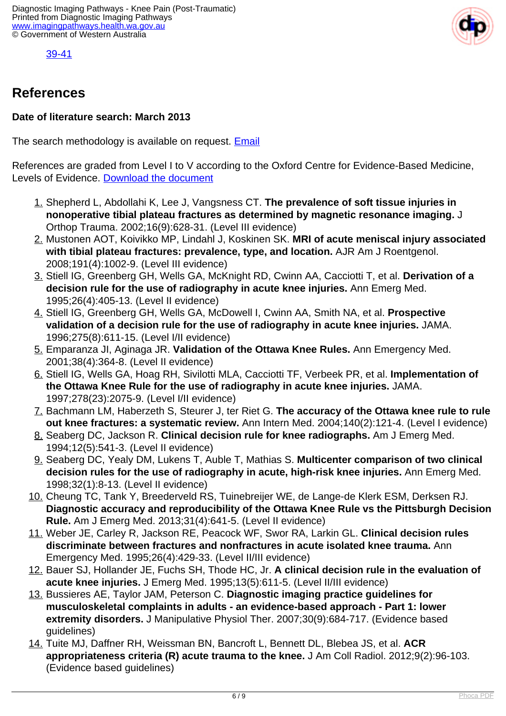

[39-41](index.php/imaging-pathways/musculoskeletal-trauma/bone-and-joint-trauma/post-traumatic-knee-pain?tab=References#39)

### **References**

#### **Date of literature search: March 2013**

The search methodology is available on request. [Email](index.php/contact-us)

References are graded from Level I to V according to the Oxford Centre for Evidence-Based Medicine, Levels of Evidence. [Download the document](http://www.cebm.net/wp-content/uploads/2014/06/CEBM-Levels-of-Evidence-2.1.pdf)

- 1. Shepherd L, Abdollahi K, Lee J, Vangsness CT. **The prevalence of soft tissue injuries in nonoperative tibial plateau fractures as determined by magnetic resonance imaging.** J Orthop Trauma. 2002;16(9):628-31. (Level III evidence)
- 2. Mustonen AOT, Koivikko MP, Lindahl J, Koskinen SK. **MRI of acute meniscal injury associated with tibial plateau fractures: prevalence, type, and location.** AJR Am J Roentgenol. 2008;191(4):1002-9. (Level III evidence)
- 3. Stiell IG, Greenberg GH, Wells GA, McKnight RD, Cwinn AA, Cacciotti T, et al. **Derivation of a decision rule for the use of radiography in acute knee injuries.** Ann Emerg Med. 1995;26(4):405-13. (Level II evidence)
- 4. Stiell IG, Greenberg GH, Wells GA, McDowell I, Cwinn AA, Smith NA, et al. **Prospective validation of a decision rule for the use of radiography in acute knee injuries.** JAMA. 1996;275(8):611-15. (Level I/II evidence)
- 5. Emparanza JI, Aginaga JR. **Validation of the Ottawa Knee Rules.** Ann Emergency Med. 2001;38(4):364-8. (Level II evidence)
- 6. Stiell IG, Wells GA, Hoag RH, Sivilotti MLA, Cacciotti TF, Verbeek PR, et al. **Implementation of the Ottawa Knee Rule for the use of radiography in acute knee injuries.** JAMA. 1997;278(23):2075-9. (Level I/II evidence)
- 7. Bachmann LM, Haberzeth S, Steurer J, ter Riet G. **The accuracy of the Ottawa knee rule to rule out knee fractures: a systematic review.** Ann Intern Med. 2004;140(2):121-4. (Level I evidence)
- 8. Seaberg DC, Jackson R. **Clinical decision rule for knee radiographs.** Am J Emerg Med. 1994;12(5):541-3. (Level II evidence)
- 9. Seaberg DC, Yealy DM, Lukens T, Auble T, Mathias S. **Multicenter comparison of two clinical decision rules for the use of radiography in acute, high-risk knee injuries.** Ann Emerg Med. 1998;32(1):8-13. (Level II evidence)
- 10. Cheung TC, Tank Y, Breederveld RS, Tuinebreijer WE, de Lange-de Klerk ESM, Derksen RJ. **Diagnostic accuracy and reproducibility of the Ottawa Knee Rule vs the Pittsburgh Decision Rule.** Am J Emerg Med. 2013;31(4):641-5. (Level II evidence)
- 11. Weber JE, Carley R, Jackson RE, Peacock WF, Swor RA, Larkin GL. **Clinical decision rules discriminate between fractures and nonfractures in acute isolated knee trauma.** Ann Emergency Med. 1995;26(4):429-33. (Level II/III evidence)
- 12. Bauer SJ, Hollander JE, Fuchs SH, Thode HC, Jr. **A clinical decision rule in the evaluation of acute knee injuries.** J Emerg Med. 1995;13(5):611-5. (Level II/III evidence)
- 13. Bussieres AE, Taylor JAM, Peterson C. **Diagnostic imaging practice guidelines for musculoskeletal complaints in adults - an evidence-based approach - Part 1: lower extremity disorders.** J Manipulative Physiol Ther. 2007;30(9):684-717. (Evidence based guidelines)
- 14. Tuite MJ, Daffner RH, Weissman BN, Bancroft L, Bennett DL, Blebea JS, et al. **ACR appropriateness criteria (R) acute trauma to the knee.** J Am Coll Radiol. 2012;9(2):96-103. (Evidence based guidelines)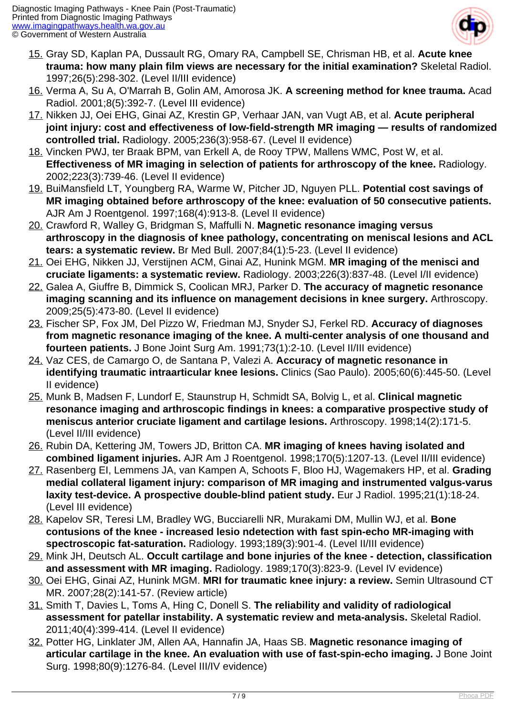

- 15. Gray SD, Kaplan PA, Dussault RG, Omary RA, Campbell SE, Chrisman HB, et al. **Acute knee trauma: how many plain film views are necessary for the initial examination?** Skeletal Radiol. 1997;26(5):298-302. (Level II/III evidence)
- 16. Verma A, Su A, O'Marrah B, Golin AM, Amorosa JK. **A screening method for knee trauma.** Acad Radiol. 2001;8(5):392-7. (Level III evidence)
- 17. Nikken JJ, Oei EHG, Ginai AZ, Krestin GP, Verhaar JAN, van Vugt AB, et al. **Acute peripheral joint injury: cost and effectiveness of low-field-strength MR imaging — results of randomized controlled trial.** Radiology. 2005;236(3):958-67. (Level II evidence)
- 18. Vincken PWJ, ter Braak BPM, van Erkell A, de Rooy TPW, Mallens WMC, Post W, et al. **Effectiveness of MR imaging in selection of patients for arthroscopy of the knee.** Radiology. 2002;223(3):739-46. (Level II evidence)
- 19. BuiMansfield LT, Youngberg RA, Warme W, Pitcher JD, Nguyen PLL. **Potential cost savings of MR imaging obtained before arthroscopy of the knee: evaluation of 50 consecutive patients.** AJR Am J Roentgenol. 1997;168(4):913-8. (Level II evidence)
- 20. Crawford R, Walley G, Bridgman S, Maffulli N. **Magnetic resonance imaging versus arthroscopy in the diagnosis of knee pathology, concentrating on meniscal lesions and ACL tears: a systematic review.** Br Med Bull. 2007;84(1):5-23. (Level II evidence)
- 21. Oei EHG, Nikken JJ, Verstijnen ACM, Ginai AZ, Hunink MGM. **MR imaging of the menisci and cruciate ligaments: a systematic review.** Radiology. 2003;226(3):837-48. (Level I/II evidence)
- 22. Galea A, Giuffre B, Dimmick S, Coolican MRJ, Parker D. **The accuracy of magnetic resonance imaging scanning and its influence on management decisions in knee surgery.** Arthroscopy. 2009;25(5):473-80. (Level II evidence)
- 23. Fischer SP, Fox JM, Del Pizzo W, Friedman MJ, Snyder SJ, Ferkel RD. **Accuracy of diagnoses from magnetic resonance imaging of the knee. A multi-center analysis of one thousand and fourteen patients.** J Bone Joint Surg Am. 1991;73(1):2-10. (Level II/III evidence)
- 24. Vaz CES, de Camargo O, de Santana P, Valezi A. **Accuracy of magnetic resonance in identifying traumatic intraarticular knee lesions.** Clinics (Sao Paulo). 2005;60(6):445-50. (Level II evidence)
- 25. Munk B, Madsen F, Lundorf E, Staunstrup H, Schmidt SA, Bolvig L, et al. **Clinical magnetic resonance imaging and arthroscopic findings in knees: a comparative prospective study of meniscus anterior cruciate ligament and cartilage lesions.** Arthroscopy. 1998;14(2):171-5. (Level II/III evidence)
- 26. Rubin DA, Kettering JM, Towers JD, Britton CA. **MR imaging of knees having isolated and combined ligament injuries.** AJR Am J Roentgenol. 1998;170(5):1207-13. (Level II/III evidence)
- 27. Rasenberg EI, Lemmens JA, van Kampen A, Schoots F, Bloo HJ, Wagemakers HP, et al. **Grading medial collateral ligament injury: comparison of MR imaging and instrumented valgus-varus laxity test-device. A prospective double-blind patient study.** Eur J Radiol. 1995;21(1):18-24. (Level III evidence)
- 28. Kapelov SR, Teresi LM, Bradley WG, Bucciarelli NR, Murakami DM, Mullin WJ, et al. **Bone contusions of the knee - increased lesio ndetection with fast spin-echo MR-imaging with spectroscopic fat-saturation.** Radiology. 1993;189(3):901-4. (Level II/III evidence)
- 29. Mink JH, Deutsch AL. **Occult cartilage and bone injuries of the knee detection, classification and assessment with MR imaging.** Radiology. 1989;170(3):823-9. (Level IV evidence)
- 30. Oei EHG, Ginai AZ, Hunink MGM. **MRI for traumatic knee injury: a review.** Semin Ultrasound CT MR. 2007;28(2):141-57. (Review article)
- 31. Smith T, Davies L, Toms A, Hing C, Donell S. **The reliability and validity of radiological assessment for patellar instability. A systematic review and meta-analysis.** Skeletal Radiol. 2011;40(4):399-414. (Level II evidence)
- 32. Potter HG, Linklater JM, Allen AA, Hannafin JA, Haas SB. **Magnetic resonance imaging of articular cartilage in the knee. An evaluation with use of fast-spin-echo imaging.** J Bone Joint Surg. 1998;80(9):1276-84. (Level III/IV evidence)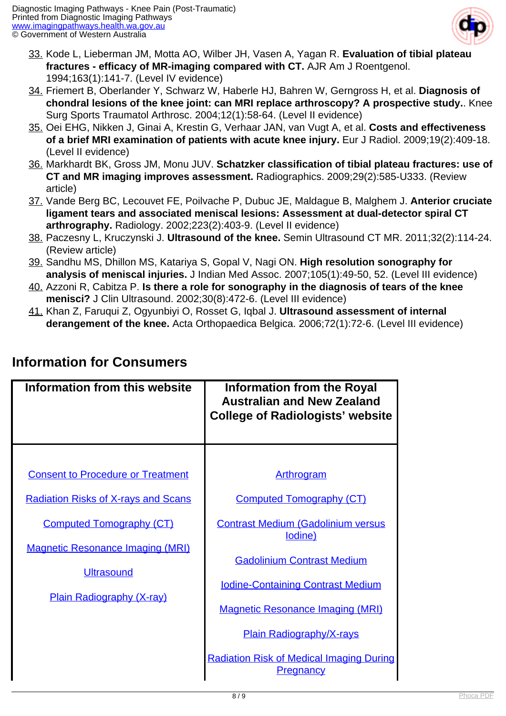

- 33. Kode L, Lieberman JM, Motta AO, Wilber JH, Vasen A, Yagan R. **Evaluation of tibial plateau fractures - efficacy of MR-imaging compared with CT.** AJR Am J Roentgenol. 1994;163(1):141-7. (Level IV evidence)
- 34. Friemert B, Oberlander Y, Schwarz W, Haberle HJ, Bahren W, Gerngross H, et al. **Diagnosis of chondral lesions of the knee joint: can MRI replace arthroscopy? A prospective study.**. Knee Surg Sports Traumatol Arthrosc. 2004;12(1):58-64. (Level II evidence)
- 35. Oei EHG, Nikken J, Ginai A, Krestin G, Verhaar JAN, van Vugt A, et al. **Costs and effectiveness of a brief MRI examination of patients with acute knee injury.** Eur J Radiol. 2009;19(2):409-18. (Level II evidence)
- 36. Markhardt BK, Gross JM, Monu JUV. **Schatzker classification of tibial plateau fractures: use of CT and MR imaging improves assessment.** Radiographics. 2009;29(2):585-U333. (Review article)
- 37. Vande Berg BC, Lecouvet FE, Poilvache P, Dubuc JE, Maldague B, Malghem J. **Anterior cruciate ligament tears and associated meniscal lesions: Assessment at dual-detector spiral CT arthrography.** Radiology. 2002;223(2):403-9. (Level II evidence)
- 38. Paczesny L, Kruczynski J. **Ultrasound of the knee.** Semin Ultrasound CT MR. 2011;32(2):114-24. (Review article)
- 39. Sandhu MS, Dhillon MS, Katariya S, Gopal V, Nagi ON. **High resolution sonography for analysis of meniscal injuries.** J Indian Med Assoc. 2007;105(1):49-50, 52. (Level III evidence)
- 40. Azzoni R, Cabitza P. **Is there a role for sonography in the diagnosis of tears of the knee menisci?** J Clin Ultrasound. 2002;30(8):472-6. (Level III evidence)
- 41. Khan Z, Faruqui Z, Ogyunbiyi O, Rosset G, Iqbal J. **Ultrasound assessment of internal derangement of the knee.** Acta Orthopaedica Belgica. 2006;72(1):72-6. (Level III evidence)

| <b>Information from this website</b>       | <b>Information from the Royal</b><br><b>Australian and New Zealand</b><br><b>College of Radiologists' website</b> |
|--------------------------------------------|-------------------------------------------------------------------------------------------------------------------|
|                                            |                                                                                                                   |
| <b>Consent to Procedure or Treatment</b>   | <b>Arthrogram</b>                                                                                                 |
| <b>Radiation Risks of X-rays and Scans</b> | <b>Computed Tomography (CT)</b>                                                                                   |
| <b>Computed Tomography (CT)</b>            | <b>Contrast Medium (Gadolinium versus</b><br><u>lodine)</u>                                                       |
| <b>Magnetic Resonance Imaging (MRI)</b>    | <b>Gadolinium Contrast Medium</b>                                                                                 |
| <b>Ultrasound</b>                          |                                                                                                                   |
| <b>Plain Radiography (X-ray)</b>           | <b>Iodine-Containing Contrast Medium</b>                                                                          |
|                                            | <b>Magnetic Resonance Imaging (MRI)</b>                                                                           |
|                                            | <b>Plain Radiography/X-rays</b>                                                                                   |
|                                            | <b>Radiation Risk of Medical Imaging During</b><br><b>Pregnancy</b>                                               |

### **Information for Consumers**